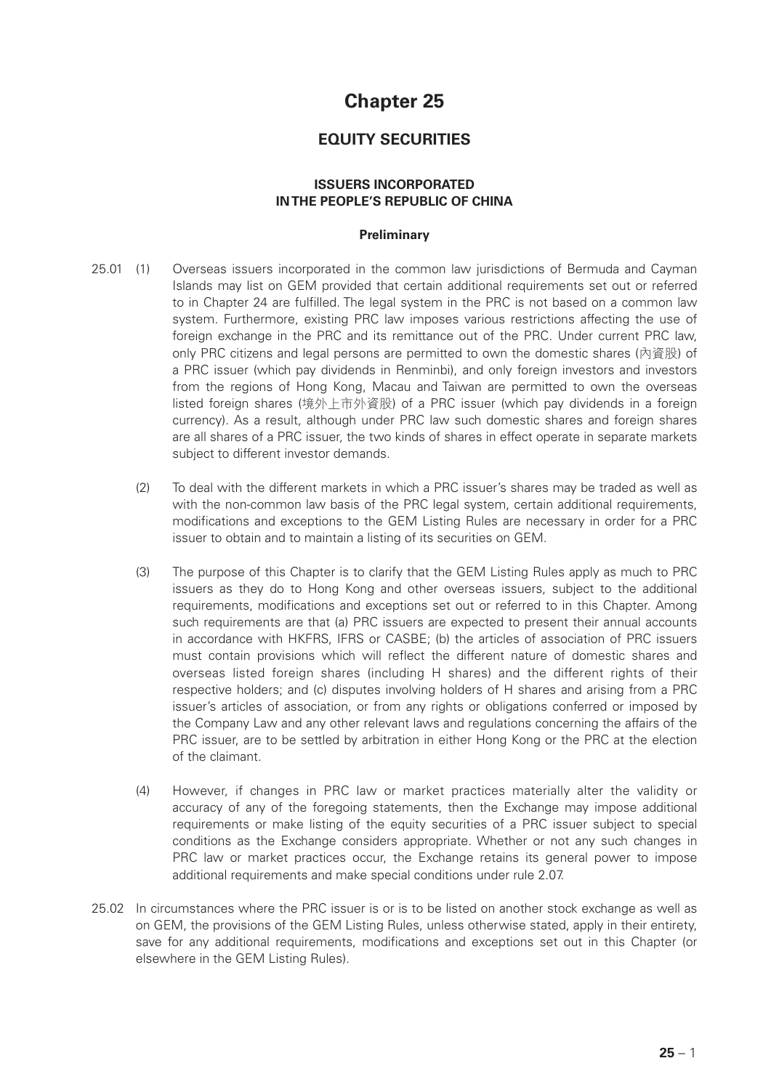# **Chapter 25**

## **EQUITY SECURITIES**

## **ISSUERS INCORPORATED IN THE PEOPLE'S REPUBLIC OF CHINA**

## **Preliminary**

- 25.01 (1) Overseas issuers incorporated in the common law jurisdictions of Bermuda and Cayman Islands may list on GEM provided that certain additional requirements set out or referred to in Chapter 24 are fulfilled. The legal system in the PRC is not based on a common law system. Furthermore, existing PRC law imposes various restrictions affecting the use of foreign exchange in the PRC and its remittance out of the PRC. Under current PRC law, only PRC citizens and legal persons are permitted to own the domestic shares (內資股) of a PRC issuer (which pay dividends in Renminbi), and only foreign investors and investors from the regions of Hong Kong, Macau and Taiwan are permitted to own the overseas listed foreign shares (境外上市外資股) of a PRC issuer (which pay dividends in a foreign currency). As a result, although under PRC law such domestic shares and foreign shares are all shares of a PRC issuer, the two kinds of shares in effect operate in separate markets subject to different investor demands.
	- (2) To deal with the different markets in which a PRC issuer's shares may be traded as well as with the non-common law basis of the PRC legal system, certain additional requirements, modifications and exceptions to the GEM Listing Rules are necessary in order for a PRC issuer to obtain and to maintain a listing of its securities on GEM.
	- (3) The purpose of this Chapter is to clarify that the GEM Listing Rules apply as much to PRC issuers as they do to Hong Kong and other overseas issuers, subject to the additional requirements, modifications and exceptions set out or referred to in this Chapter. Among such requirements are that (a) PRC issuers are expected to present their annual accounts in accordance with HKFRS, IFRS or CASBE; (b) the articles of association of PRC issuers must contain provisions which will reflect the different nature of domestic shares and overseas listed foreign shares (including H shares) and the different rights of their respective holders; and (c) disputes involving holders of H shares and arising from a PRC issuer's articles of association, or from any rights or obligations conferred or imposed by the Company Law and any other relevant laws and regulations concerning the affairs of the PRC issuer, are to be settled by arbitration in either Hong Kong or the PRC at the election of the claimant.
	- (4) However, if changes in PRC law or market practices materially alter the validity or accuracy of any of the foregoing statements, then the Exchange may impose additional requirements or make listing of the equity securities of a PRC issuer subject to special conditions as the Exchange considers appropriate. Whether or not any such changes in PRC law or market practices occur, the Exchange retains its general power to impose additional requirements and make special conditions under rule 2.07.
- 25.02 In circumstances where the PRC issuer is or is to be listed on another stock exchange as well as on GEM, the provisions of the GEM Listing Rules, unless otherwise stated, apply in their entirety, save for any additional requirements, modifications and exceptions set out in this Chapter (or elsewhere in the GEM Listing Rules).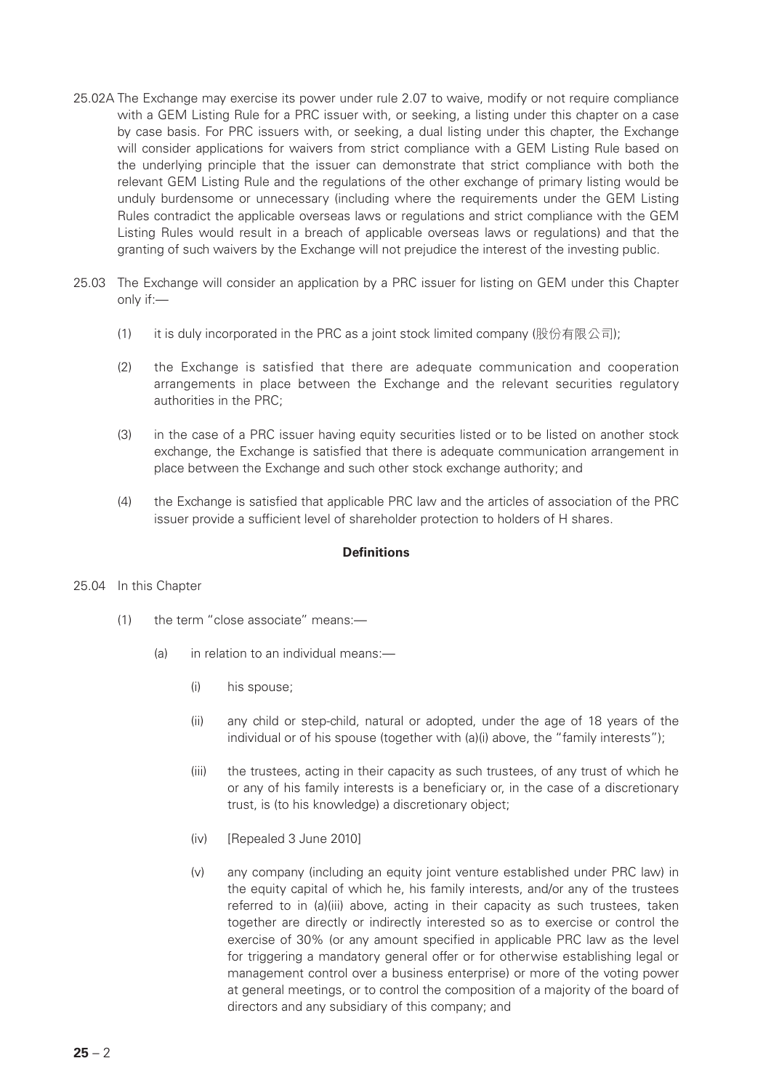- 25.02A The Exchange may exercise its power under rule 2.07 to waive, modify or not require compliance with a GEM Listing Rule for a PRC issuer with, or seeking, a listing under this chapter on a case by case basis. For PRC issuers with, or seeking, a dual listing under this chapter, the Exchange will consider applications for waivers from strict compliance with a GEM Listing Rule based on the underlying principle that the issuer can demonstrate that strict compliance with both the relevant GEM Listing Rule and the regulations of the other exchange of primary listing would be unduly burdensome or unnecessary (including where the requirements under the GEM Listing Rules contradict the applicable overseas laws or regulations and strict compliance with the GEM Listing Rules would result in a breach of applicable overseas laws or regulations) and that the granting of such waivers by the Exchange will not prejudice the interest of the investing public.
- 25.03 The Exchange will consider an application by a PRC issuer for listing on GEM under this Chapter only if:—
	- (1) it is duly incorporated in the PRC as a joint stock limited company (股份有限公司);
	- (2) the Exchange is satisfied that there are adequate communication and cooperation arrangements in place between the Exchange and the relevant securities regulatory authorities in the PRC;
	- (3) in the case of a PRC issuer having equity securities listed or to be listed on another stock exchange, the Exchange is satisfied that there is adequate communication arrangement in place between the Exchange and such other stock exchange authority; and
	- (4) the Exchange is satisfied that applicable PRC law and the articles of association of the PRC issuer provide a sufficient level of shareholder protection to holders of H shares.

## **Definitions**

## 25.04 In this Chapter

- (1) the term "close associate" means:—
	- (a) in relation to an individual means:—
		- (i) his spouse;
		- (ii) any child or step-child, natural or adopted, under the age of 18 years of the individual or of his spouse (together with (a)(i) above, the "family interests");
		- (iii) the trustees, acting in their capacity as such trustees, of any trust of which he or any of his family interests is a beneficiary or, in the case of a discretionary trust, is (to his knowledge) a discretionary object;
		- (iv) [Repealed 3 June 2010]
		- (v) any company (including an equity joint venture established under PRC law) in the equity capital of which he, his family interests, and/or any of the trustees referred to in (a)(iii) above, acting in their capacity as such trustees, taken together are directly or indirectly interested so as to exercise or control the exercise of 30% (or any amount specified in applicable PRC law as the level for triggering a mandatory general offer or for otherwise establishing legal or management control over a business enterprise) or more of the voting power at general meetings, or to control the composition of a majority of the board of directors and any subsidiary of this company; and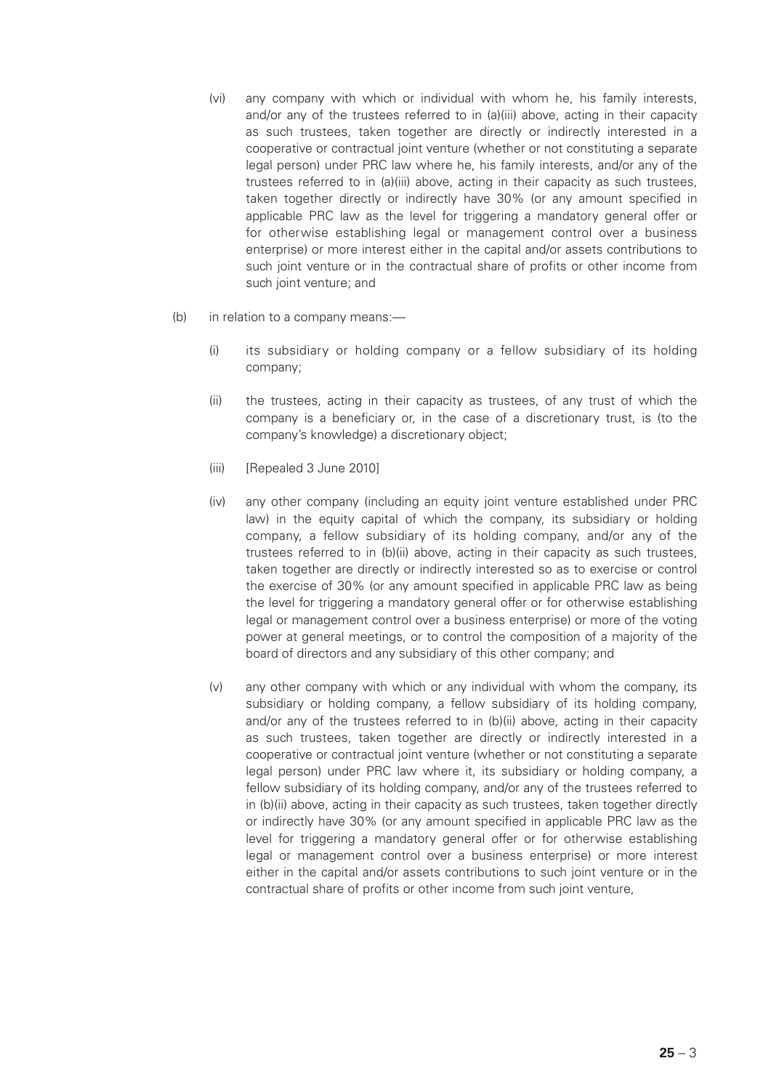- (vi) any company with which or individual with whom he, his family interests, and/or any of the trustees referred to in (a)(iii) above, acting in their capacity as such trustees, taken together are directly or indirectly interested in a cooperative or contractual joint venture (whether or not constituting a separate legal person) under PRC law where he, his family interests, and/or any of the trustees referred to in (a)(iii) above, acting in their capacity as such trustees, taken together directly or indirectly have 30% (or any amount specified in applicable PRC law as the level for triggering a mandatory general offer or for otherwise establishing legal or management control over a business enterprise) or more interest either in the capital and/or assets contributions to such joint venture or in the contractual share of profits or other income from such joint venture; and
- (b) in relation to a company means:—
	- (i) its subsidiary or holding company or a fellow subsidiary of its holding company;
	- (ii) the trustees, acting in their capacity as trustees, of any trust of which the company is a beneficiary or, in the case of a discretionary trust, is (to the company's knowledge) a discretionary object;
	- (iii) [Repealed 3 June 2010]
	- (iv) any other company (including an equity joint venture established under PRC law) in the equity capital of which the company, its subsidiary or holding company, a fellow subsidiary of its holding company, and/or any of the trustees referred to in (b)(ii) above, acting in their capacity as such trustees, taken together are directly or indirectly interested so as to exercise or control the exercise of 30% (or any amount specified in applicable PRC law as being the level for triggering a mandatory general offer or for otherwise establishing legal or management control over a business enterprise) or more of the voting power at general meetings, or to control the composition of a majority of the board of directors and any subsidiary of this other company; and
	- (v) any other company with which or any individual with whom the company, its subsidiary or holding company, a fellow subsidiary of its holding company, and/or any of the trustees referred to in (b)(ii) above, acting in their capacity as such trustees, taken together are directly or indirectly interested in a cooperative or contractual joint venture (whether or not constituting a separate legal person) under PRC law where it, its subsidiary or holding company, a fellow subsidiary of its holding company, and/or any of the trustees referred to in (b)(ii) above, acting in their capacity as such trustees, taken together directly or indirectly have 30% (or any amount specified in applicable PRC law as the level for triggering a mandatory general offer or for otherwise establishing legal or management control over a business enterprise) or more interest either in the capital and/or assets contributions to such joint venture or in the contractual share of profits or other income from such joint venture,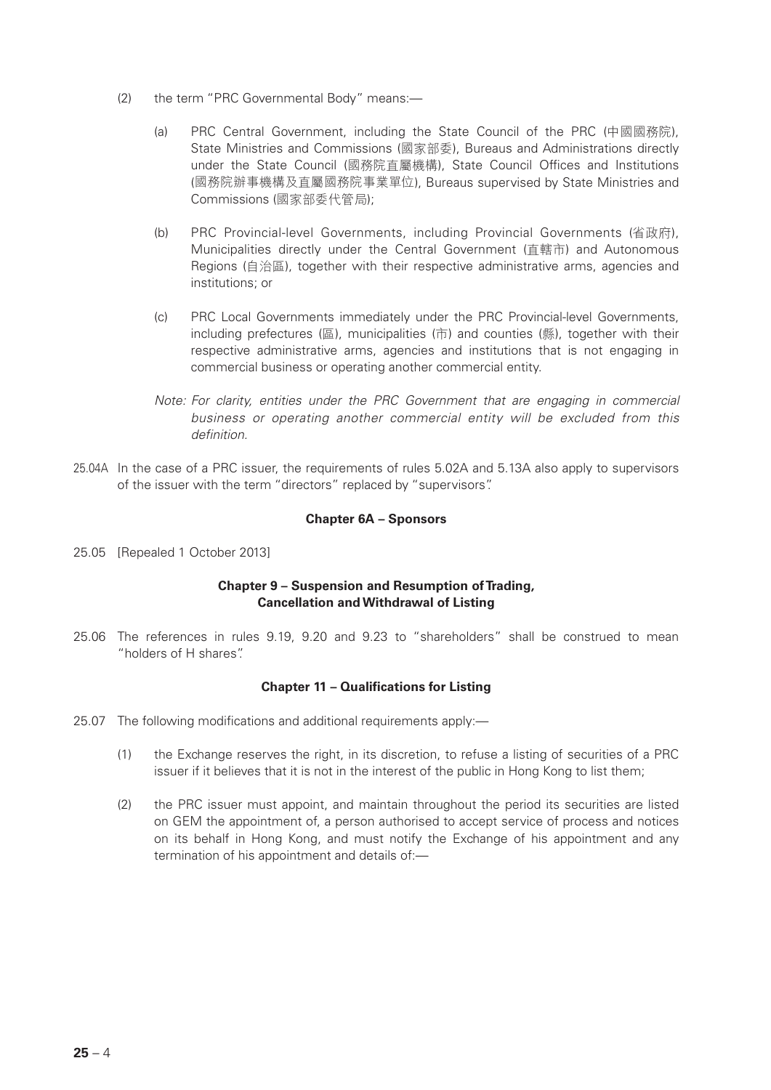- (2) the term "PRC Governmental Body" means:—
	- (a) PRC Central Government, including the State Council of the PRC (中國國務院), State Ministries and Commissions (國家部委), Bureaus and Administrations directly under the State Council (國務院直屬機構), State Council Offices and Institutions (國務院辦事機構及直屬國務院事業單位), Bureaus supervised by State Ministries and Commissions (國家部委代管局);
	- (b) PRC Provincial-level Governments, including Provincial Governments (省政府), Municipalities directly under the Central Government (直轄市) and Autonomous Regions (自治區), together with their respective administrative arms, agencies and institutions; or
	- (c) PRC Local Governments immediately under the PRC Provincial-level Governments, including prefectures (區), municipalities (市) and counties (縣), together with their respective administrative arms, agencies and institutions that is not engaging in commercial business or operating another commercial entity.
	- *Note: For clarity, entities under the PRC Government that are engaging in commercial business or operating another commercial entity will be excluded from this definition.*
- 25.04A In the case of a PRC issuer, the requirements of rules 5.02A and 5.13A also apply to supervisors of the issuer with the term "directors" replaced by "supervisors".

#### **Chapter 6A – Sponsors**

25.05 [Repealed 1 October 2013]

## **Chapter 9 – Suspension and Resumption of Trading, Cancellation and Withdrawal of Listing**

25.06 The references in rules 9.19, 9.20 and 9.23 to "shareholders" shall be construed to mean "holders of H shares".

#### **Chapter 11 – Qualifications for Listing**

- 25.07 The following modifications and additional requirements apply:—
	- (1) the Exchange reserves the right, in its discretion, to refuse a listing of securities of a PRC issuer if it believes that it is not in the interest of the public in Hong Kong to list them;
	- (2) the PRC issuer must appoint, and maintain throughout the period its securities are listed on GEM the appointment of, a person authorised to accept service of process and notices on its behalf in Hong Kong, and must notify the Exchange of his appointment and any termination of his appointment and details of:—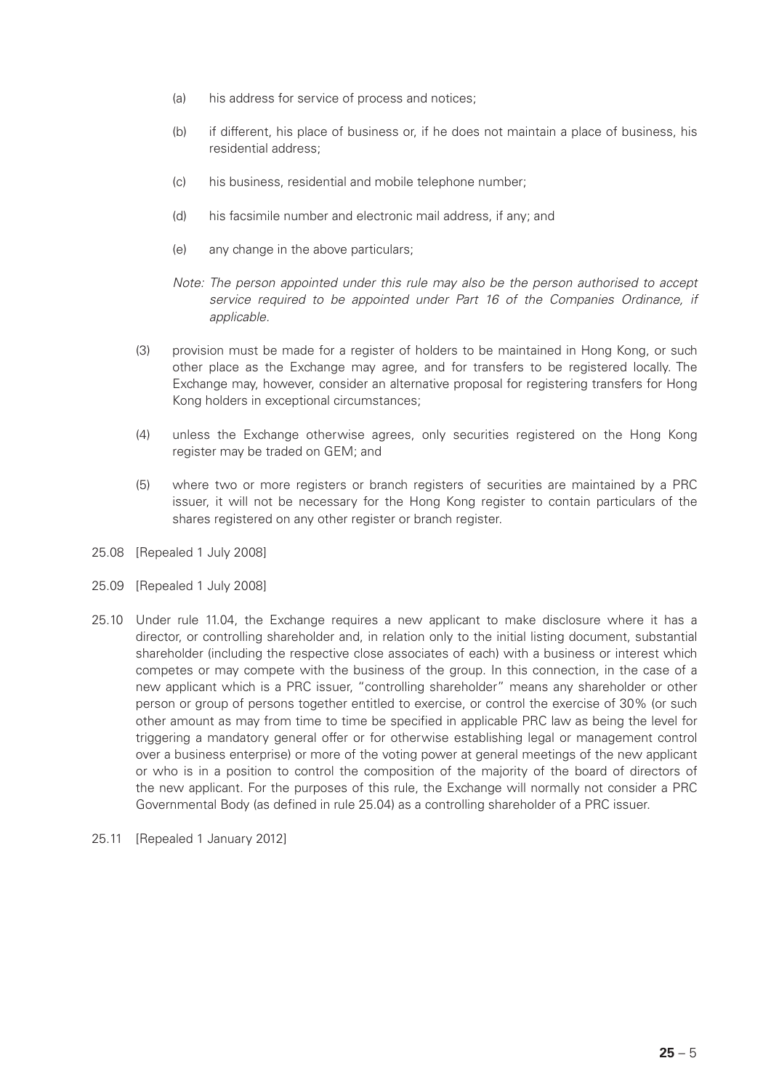- (a) his address for service of process and notices;
- (b) if different, his place of business or, if he does not maintain a place of business, his residential address;
- (c) his business, residential and mobile telephone number;
- (d) his facsimile number and electronic mail address, if any; and
- (e) any change in the above particulars;
- *Note: The person appointed under this rule may also be the person authorised to accept service required to be appointed under Part 16 of the Companies Ordinance, if applicable.*
- (3) provision must be made for a register of holders to be maintained in Hong Kong, or such other place as the Exchange may agree, and for transfers to be registered locally. The Exchange may, however, consider an alternative proposal for registering transfers for Hong Kong holders in exceptional circumstances;
- (4) unless the Exchange otherwise agrees, only securities registered on the Hong Kong register may be traded on GEM; and
- (5) where two or more registers or branch registers of securities are maintained by a PRC issuer, it will not be necessary for the Hong Kong register to contain particulars of the shares registered on any other register or branch register.
- 25.08 [Repealed 1 July 2008]
- 25.09 [Repealed 1 July 2008]
- 25.10 Under rule 11.04, the Exchange requires a new applicant to make disclosure where it has a director, or controlling shareholder and, in relation only to the initial listing document, substantial shareholder (including the respective close associates of each) with a business or interest which competes or may compete with the business of the group. In this connection, in the case of a new applicant which is a PRC issuer, "controlling shareholder" means any shareholder or other person or group of persons together entitled to exercise, or control the exercise of 30% (or such other amount as may from time to time be specified in applicable PRC law as being the level for triggering a mandatory general offer or for otherwise establishing legal or management control over a business enterprise) or more of the voting power at general meetings of the new applicant or who is in a position to control the composition of the majority of the board of directors of the new applicant. For the purposes of this rule, the Exchange will normally not consider a PRC Governmental Body (as defined in rule 25.04) as a controlling shareholder of a PRC issuer.
- 25.11 [Repealed 1 January 2012]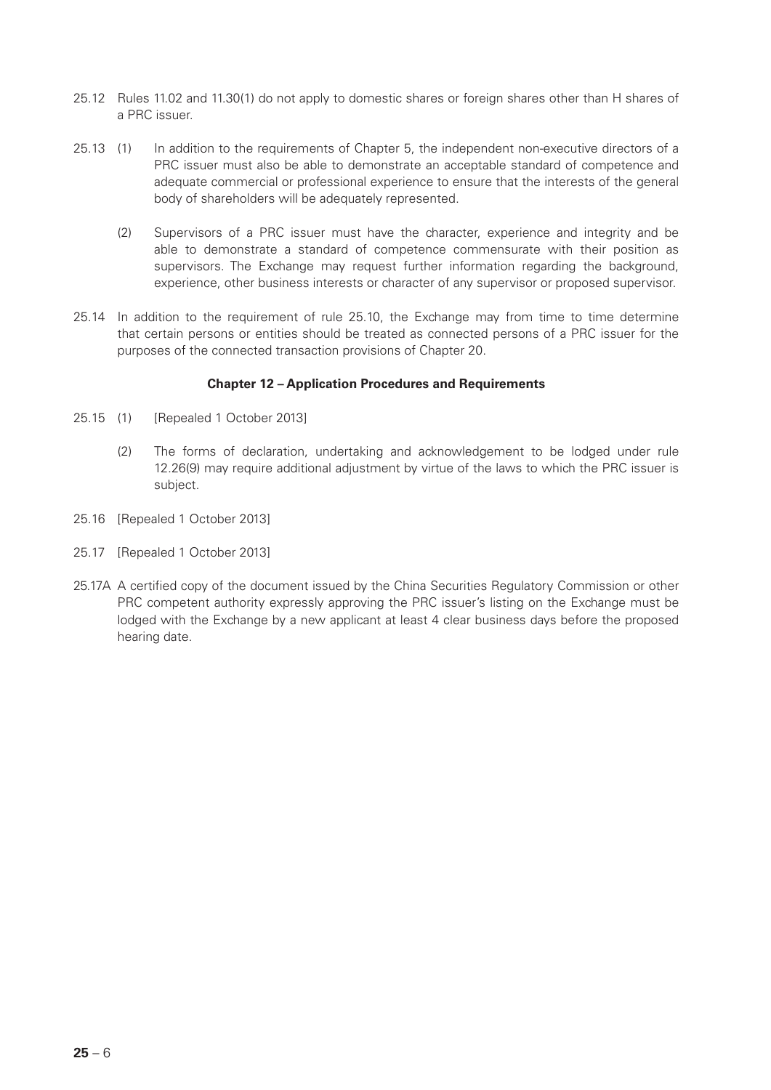- 25.12 Rules 11.02 and 11.30(1) do not apply to domestic shares or foreign shares other than H shares of a PRC issuer.
- 25.13 (1) In addition to the requirements of Chapter 5, the independent non-executive directors of a PRC issuer must also be able to demonstrate an acceptable standard of competence and adequate commercial or professional experience to ensure that the interests of the general body of shareholders will be adequately represented.
	- (2) Supervisors of a PRC issuer must have the character, experience and integrity and be able to demonstrate a standard of competence commensurate with their position as supervisors. The Exchange may request further information regarding the background, experience, other business interests or character of any supervisor or proposed supervisor.
- 25.14 In addition to the requirement of rule 25.10, the Exchange may from time to time determine that certain persons or entities should be treated as connected persons of a PRC issuer for the purposes of the connected transaction provisions of Chapter 20.

## **Chapter 12 – Application Procedures and Requirements**

- 25.15 (1) [Repealed 1 October 2013]
	- (2) The forms of declaration, undertaking and acknowledgement to be lodged under rule 12.26(9) may require additional adjustment by virtue of the laws to which the PRC issuer is subject.
- 25.16 [Repealed 1 October 2013]
- 25.17 [Repealed 1 October 2013]
- 25.17A A certified copy of the document issued by the China Securities Regulatory Commission or other PRC competent authority expressly approving the PRC issuer's listing on the Exchange must be lodged with the Exchange by a new applicant at least 4 clear business days before the proposed hearing date.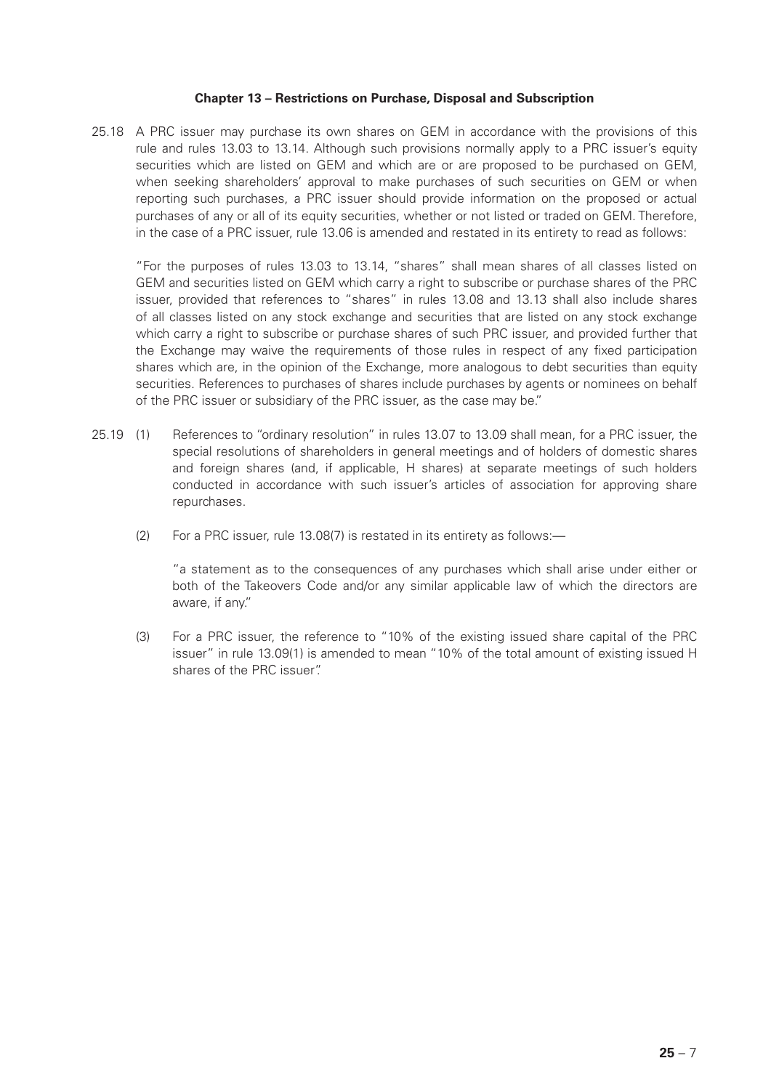#### **Chapter 13 – Restrictions on Purchase, Disposal and Subscription**

25.18 A PRC issuer may purchase its own shares on GEM in accordance with the provisions of this rule and rules 13.03 to 13.14. Although such provisions normally apply to a PRC issuer's equity securities which are listed on GEM and which are or are proposed to be purchased on GEM, when seeking shareholders' approval to make purchases of such securities on GEM or when reporting such purchases, a PRC issuer should provide information on the proposed or actual purchases of any or all of its equity securities, whether or not listed or traded on GEM. Therefore, in the case of a PRC issuer, rule 13.06 is amended and restated in its entirety to read as follows:

"For the purposes of rules 13.03 to 13.14, "shares" shall mean shares of all classes listed on GEM and securities listed on GEM which carry a right to subscribe or purchase shares of the PRC issuer, provided that references to "shares" in rules 13.08 and 13.13 shall also include shares of all classes listed on any stock exchange and securities that are listed on any stock exchange which carry a right to subscribe or purchase shares of such PRC issuer, and provided further that the Exchange may waive the requirements of those rules in respect of any fixed participation shares which are, in the opinion of the Exchange, more analogous to debt securities than equity securities. References to purchases of shares include purchases by agents or nominees on behalf of the PRC issuer or subsidiary of the PRC issuer, as the case may be."

- 25.19 (1) References to "ordinary resolution" in rules 13.07 to 13.09 shall mean, for a PRC issuer, the special resolutions of shareholders in general meetings and of holders of domestic shares and foreign shares (and, if applicable, H shares) at separate meetings of such holders conducted in accordance with such issuer's articles of association for approving share repurchases.
	- (2) For a PRC issuer, rule 13.08(7) is restated in its entirety as follows:—

"a statement as to the consequences of any purchases which shall arise under either or both of the Takeovers Code and/or any similar applicable law of which the directors are aware, if any."

(3) For a PRC issuer, the reference to "10% of the existing issued share capital of the PRC issuer" in rule 13.09(1) is amended to mean "10% of the total amount of existing issued H shares of the PRC issuer".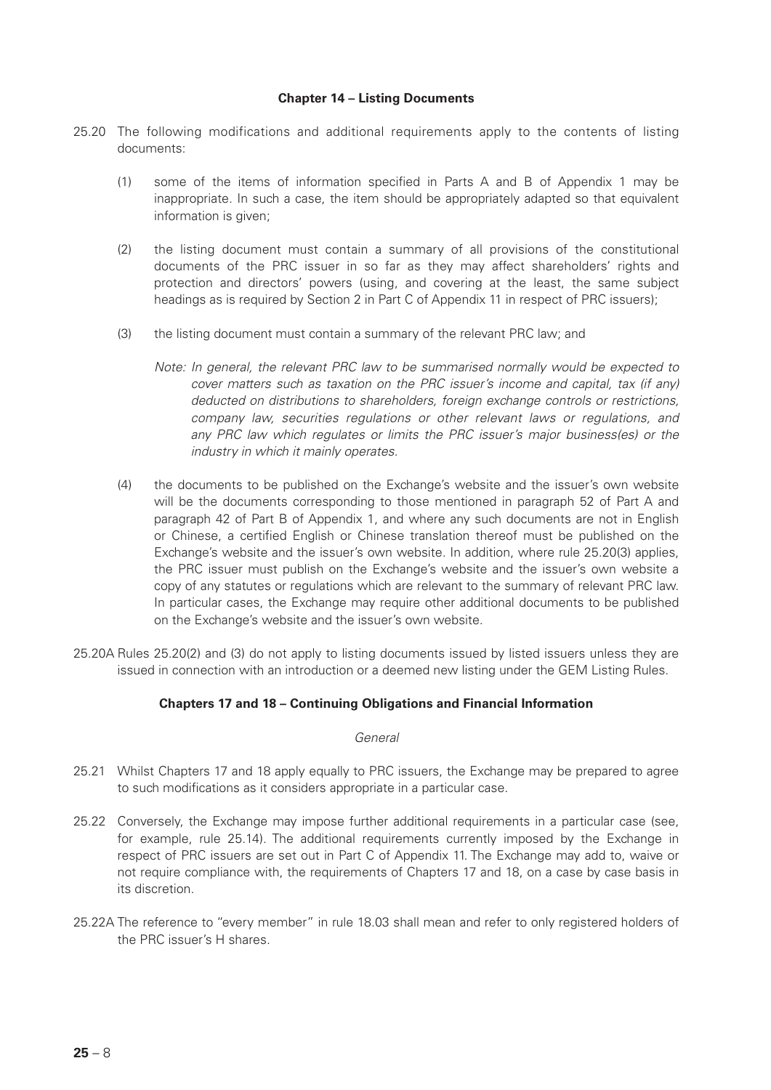## **Chapter 14 – Listing Documents**

- 25.20 The following modifications and additional requirements apply to the contents of listing documents:
	- (1) some of the items of information specified in Parts A and B of Appendix 1 may be inappropriate. In such a case, the item should be appropriately adapted so that equivalent information is given;
	- (2) the listing document must contain a summary of all provisions of the constitutional documents of the PRC issuer in so far as they may affect shareholders' rights and protection and directors' powers (using, and covering at the least, the same subject headings as is required by Section 2 in Part C of Appendix 11 in respect of PRC issuers);
	- (3) the listing document must contain a summary of the relevant PRC law; and
		- *Note: In general, the relevant PRC law to be summarised normally would be expected to cover matters such as taxation on the PRC issuer's income and capital, tax (if any) deducted on distributions to shareholders, foreign exchange controls or restrictions, company law, securities regulations or other relevant laws or regulations, and any PRC law which regulates or limits the PRC issuer's major business(es) or the industry in which it mainly operates.*
	- (4) the documents to be published on the Exchange's website and the issuer's own website will be the documents corresponding to those mentioned in paragraph 52 of Part A and paragraph 42 of Part B of Appendix 1, and where any such documents are not in English or Chinese, a certified English or Chinese translation thereof must be published on the Exchange's website and the issuer's own website. In addition, where rule 25.20(3) applies, the PRC issuer must publish on the Exchange's website and the issuer's own website a copy of any statutes or regulations which are relevant to the summary of relevant PRC law. In particular cases, the Exchange may require other additional documents to be published on the Exchange's website and the issuer's own website.
- 25.20A Rules 25.20(2) and (3) do not apply to listing documents issued by listed issuers unless they are issued in connection with an introduction or a deemed new listing under the GEM Listing Rules.

## **Chapters 17 and 18 – Continuing Obligations and Financial Information**

#### *General*

- 25.21 Whilst Chapters 17 and 18 apply equally to PRC issuers, the Exchange may be prepared to agree to such modifications as it considers appropriate in a particular case.
- 25.22 Conversely, the Exchange may impose further additional requirements in a particular case (see, for example, rule 25.14). The additional requirements currently imposed by the Exchange in respect of PRC issuers are set out in Part C of Appendix 11. The Exchange may add to, waive or not require compliance with, the requirements of Chapters 17 and 18, on a case by case basis in its discretion.
- 25.22A The reference to "every member" in rule 18.03 shall mean and refer to only registered holders of the PRC issuer's H shares.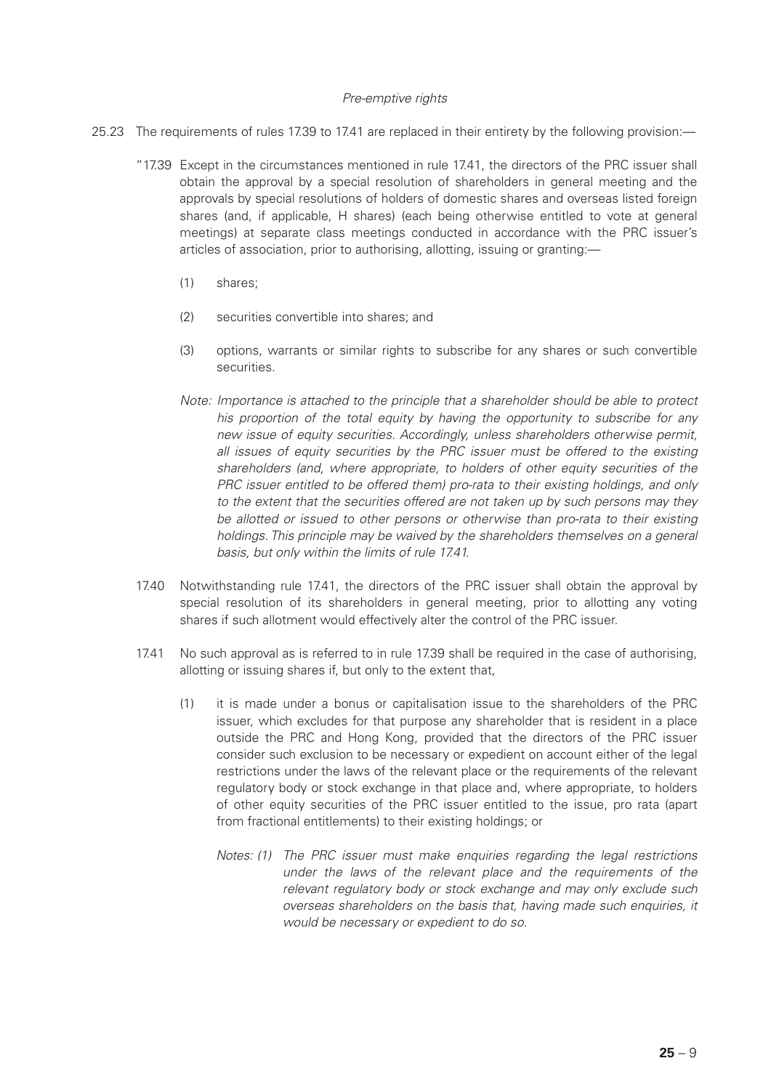## *Pre-emptive rights*

- 25.23 The requirements of rules 17.39 to 17.41 are replaced in their entirety by the following provision:—
	- "17.39 Except in the circumstances mentioned in rule 17.41, the directors of the PRC issuer shall obtain the approval by a special resolution of shareholders in general meeting and the approvals by special resolutions of holders of domestic shares and overseas listed foreign shares (and, if applicable, H shares) (each being otherwise entitled to vote at general meetings) at separate class meetings conducted in accordance with the PRC issuer's articles of association, prior to authorising, allotting, issuing or granting:—
		- (1) shares;
		- (2) securities convertible into shares; and
		- (3) options, warrants or similar rights to subscribe for any shares or such convertible securities.
		- *Note: Importance is attached to the principle that a shareholder should be able to protect his proportion of the total equity by having the opportunity to subscribe for any new issue of equity securities. Accordingly, unless shareholders otherwise permit, all issues of equity securities by the PRC issuer must be offered to the existing shareholders (and, where appropriate, to holders of other equity securities of the PRC issuer entitled to be offered them) pro-rata to their existing holdings, and only to the extent that the securities offered are not taken up by such persons may they be allotted or issued to other persons or otherwise than pro-rata to their existing holdings. This principle may be waived by the shareholders themselves on a general basis, but only within the limits of rule 17.41.*
	- 17.40 Notwithstanding rule 17.41, the directors of the PRC issuer shall obtain the approval by special resolution of its shareholders in general meeting, prior to allotting any voting shares if such allotment would effectively alter the control of the PRC issuer.
	- 17.41 No such approval as is referred to in rule 17.39 shall be required in the case of authorising, allotting or issuing shares if, but only to the extent that,
		- (1) it is made under a bonus or capitalisation issue to the shareholders of the PRC issuer, which excludes for that purpose any shareholder that is resident in a place outside the PRC and Hong Kong, provided that the directors of the PRC issuer consider such exclusion to be necessary or expedient on account either of the legal restrictions under the laws of the relevant place or the requirements of the relevant regulatory body or stock exchange in that place and, where appropriate, to holders of other equity securities of the PRC issuer entitled to the issue, pro rata (apart from fractional entitlements) to their existing holdings; or
			- *Notes: (1) The PRC issuer must make enquiries regarding the legal restrictions under the laws of the relevant place and the requirements of the relevant regulatory body or stock exchange and may only exclude such overseas shareholders on the basis that, having made such enquiries, it would be necessary or expedient to do so.*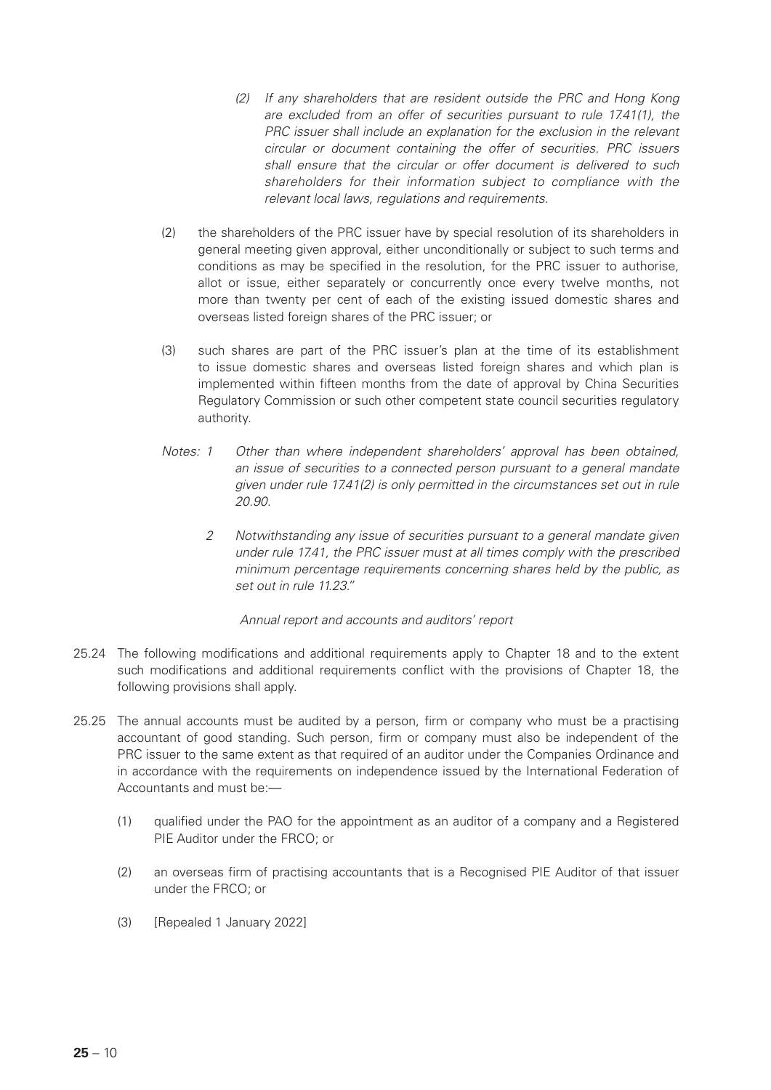- *(2) If any shareholders that are resident outside the PRC and Hong Kong are excluded from an offer of securities pursuant to rule 17.41(1), the PRC issuer shall include an explanation for the exclusion in the relevant circular or document containing the offer of securities. PRC issuers shall ensure that the circular or offer document is delivered to such shareholders for their information subject to compliance with the relevant local laws, regulations and requirements.*
- (2) the shareholders of the PRC issuer have by special resolution of its shareholders in general meeting given approval, either unconditionally or subject to such terms and conditions as may be specified in the resolution, for the PRC issuer to authorise, allot or issue, either separately or concurrently once every twelve months, not more than twenty per cent of each of the existing issued domestic shares and overseas listed foreign shares of the PRC issuer; or
- (3) such shares are part of the PRC issuer's plan at the time of its establishment to issue domestic shares and overseas listed foreign shares and which plan is implemented within fifteen months from the date of approval by China Securities Regulatory Commission or such other competent state council securities regulatory authority.
- *Notes: 1 Other than where independent shareholders' approval has been obtained, an issue of securities to a connected person pursuant to a general mandate given under rule 17.41(2) is only permitted in the circumstances set out in rule 20.90.*
	- *2 Notwithstanding any issue of securities pursuant to a general mandate given under rule 17.41, the PRC issuer must at all times comply with the prescribed minimum percentage requirements concerning shares held by the public, as set out in rule 11.23."*

*Annual report and accounts and auditors' report*

- 25.24 The following modifications and additional requirements apply to Chapter 18 and to the extent such modifications and additional requirements conflict with the provisions of Chapter 18, the following provisions shall apply.
- 25.25 The annual accounts must be audited by a person, firm or company who must be a practising accountant of good standing. Such person, firm or company must also be independent of the PRC issuer to the same extent as that required of an auditor under the Companies Ordinance and in accordance with the requirements on independence issued by the International Federation of Accountants and must be:—
	- (1) qualified under the PAO for the appointment as an auditor of a company and a Registered PIE Auditor under the FRCO; or
	- (2) an overseas firm of practising accountants that is a Recognised PIE Auditor of that issuer under the FRCO; or
	- (3) [Repealed 1 January 2022]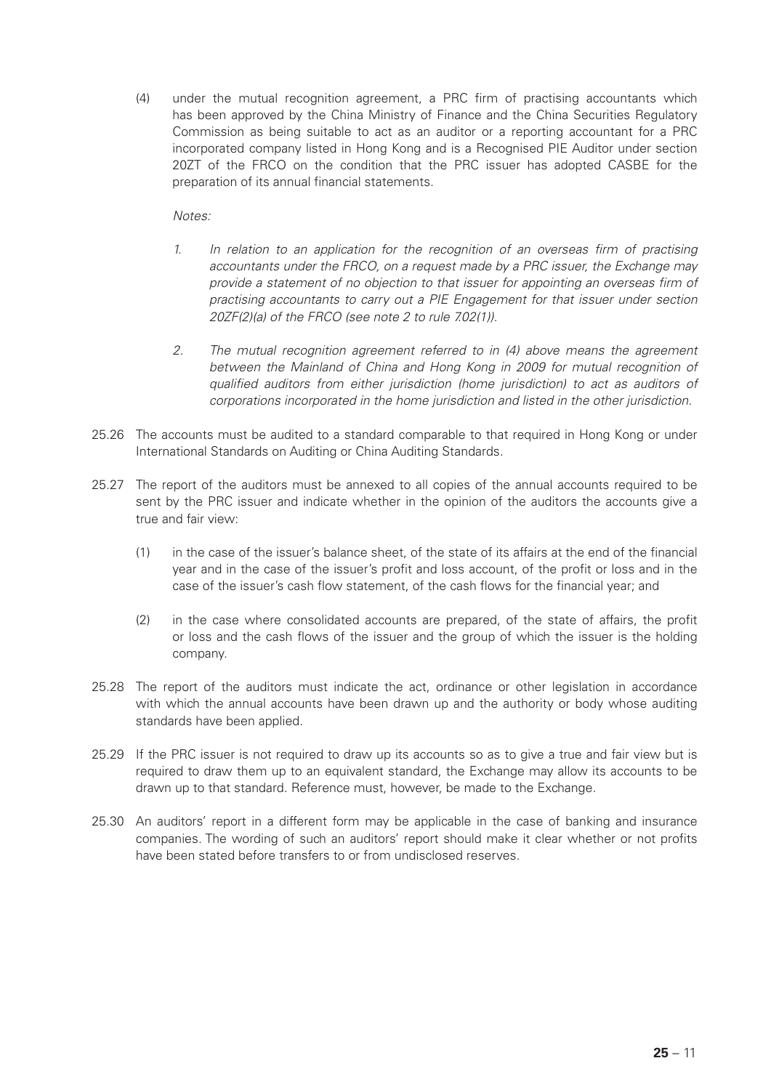(4) under the mutual recognition agreement, a PRC firm of practising accountants which has been approved by the China Ministry of Finance and the China Securities Regulatory Commission as being suitable to act as an auditor or a reporting accountant for a PRC incorporated company listed in Hong Kong and is a Recognised PIE Auditor under section 20ZT of the FRCO on the condition that the PRC issuer has adopted CASBE for the preparation of its annual financial statements.

*Notes:*

- *1. In relation to an application for the recognition of an overseas firm of practising accountants under the FRCO, on a request made by a PRC issuer, the Exchange may provide a statement of no objection to that issuer for appointing an overseas firm of practising accountants to carry out a PIE Engagement for that issuer under section 20ZF(2)(a) of the FRCO (see note 2 to rule 7.02(1)).*
- *2. The mutual recognition agreement referred to in (4) above means the agreement between the Mainland of China and Hong Kong in 2009 for mutual recognition of qualified auditors from either jurisdiction (home jurisdiction) to act as auditors of corporations incorporated in the home jurisdiction and listed in the other jurisdiction.*
- 25.26 The accounts must be audited to a standard comparable to that required in Hong Kong or under International Standards on Auditing or China Auditing Standards.
- 25.27 The report of the auditors must be annexed to all copies of the annual accounts required to be sent by the PRC issuer and indicate whether in the opinion of the auditors the accounts give a true and fair view:
	- (1) in the case of the issuer's balance sheet, of the state of its affairs at the end of the financial year and in the case of the issuer's profit and loss account, of the profit or loss and in the case of the issuer's cash flow statement, of the cash flows for the financial year; and
	- (2) in the case where consolidated accounts are prepared, of the state of affairs, the profit or loss and the cash flows of the issuer and the group of which the issuer is the holding company.
- 25.28 The report of the auditors must indicate the act, ordinance or other legislation in accordance with which the annual accounts have been drawn up and the authority or body whose auditing standards have been applied.
- 25.29 If the PRC issuer is not required to draw up its accounts so as to give a true and fair view but is required to draw them up to an equivalent standard, the Exchange may allow its accounts to be drawn up to that standard. Reference must, however, be made to the Exchange.
- 25.30 An auditors' report in a different form may be applicable in the case of banking and insurance companies. The wording of such an auditors' report should make it clear whether or not profits have been stated before transfers to or from undisclosed reserves.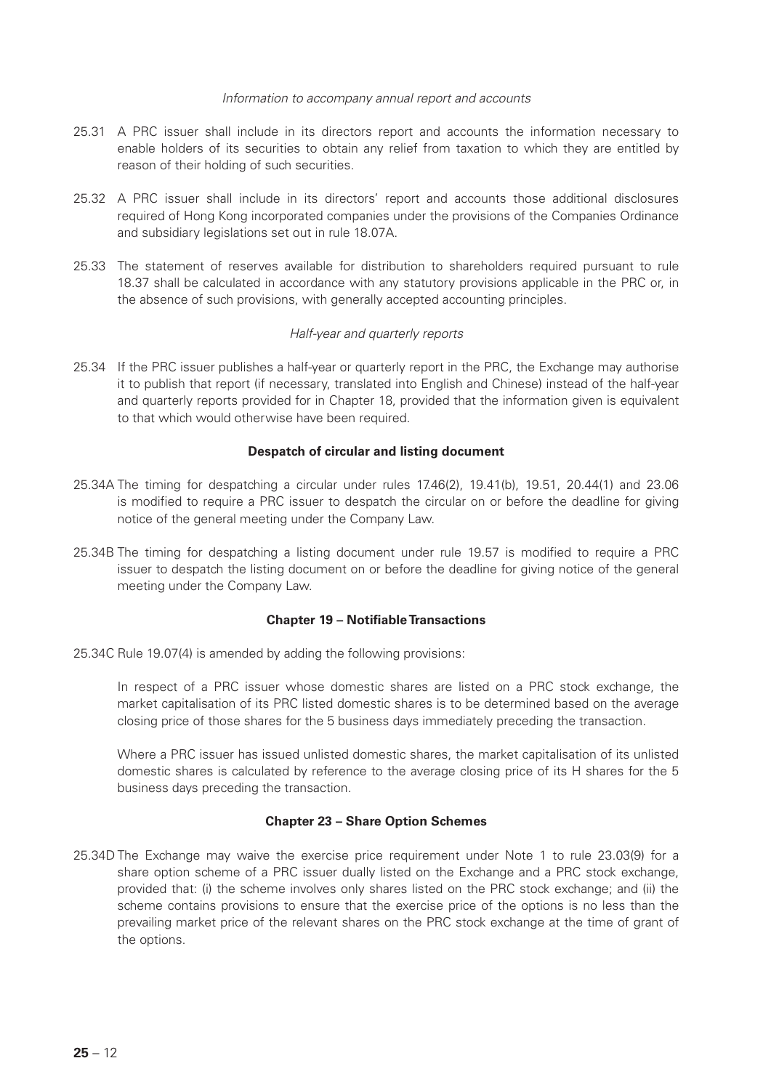#### *Information to accompany annual report and accounts*

- 25.31 A PRC issuer shall include in its directors report and accounts the information necessary to enable holders of its securities to obtain any relief from taxation to which they are entitled by reason of their holding of such securities.
- 25.32 A PRC issuer shall include in its directors' report and accounts those additional disclosures required of Hong Kong incorporated companies under the provisions of the Companies Ordinance and subsidiary legislations set out in rule 18.07A.
- 25.33 The statement of reserves available for distribution to shareholders required pursuant to rule 18.37 shall be calculated in accordance with any statutory provisions applicable in the PRC or, in the absence of such provisions, with generally accepted accounting principles.

## *Half-year and quarterly reports*

25.34 If the PRC issuer publishes a half-year or quarterly report in the PRC, the Exchange may authorise it to publish that report (if necessary, translated into English and Chinese) instead of the half-year and quarterly reports provided for in Chapter 18, provided that the information given is equivalent to that which would otherwise have been required.

#### **Despatch of circular and listing document**

- 25.34A The timing for despatching a circular under rules 17.46(2), 19.41(b), 19.51, 20.44(1) and 23.06 is modified to require a PRC issuer to despatch the circular on or before the deadline for giving notice of the general meeting under the Company Law.
- 25.34B The timing for despatching a listing document under rule 19.57 is modified to require a PRC issuer to despatch the listing document on or before the deadline for giving notice of the general meeting under the Company Law.

#### **Chapter 19 – Notifiable Transactions**

25.34C Rule 19.07(4) is amended by adding the following provisions:

In respect of a PRC issuer whose domestic shares are listed on a PRC stock exchange, the market capitalisation of its PRC listed domestic shares is to be determined based on the average closing price of those shares for the 5 business days immediately preceding the transaction.

Where a PRC issuer has issued unlisted domestic shares, the market capitalisation of its unlisted domestic shares is calculated by reference to the average closing price of its H shares for the 5 business days preceding the transaction.

## **Chapter 23 – Share Option Schemes**

25.34D The Exchange may waive the exercise price requirement under Note 1 to rule 23.03(9) for a share option scheme of a PRC issuer dually listed on the Exchange and a PRC stock exchange, provided that: (i) the scheme involves only shares listed on the PRC stock exchange; and (ii) the scheme contains provisions to ensure that the exercise price of the options is no less than the prevailing market price of the relevant shares on the PRC stock exchange at the time of grant of the options.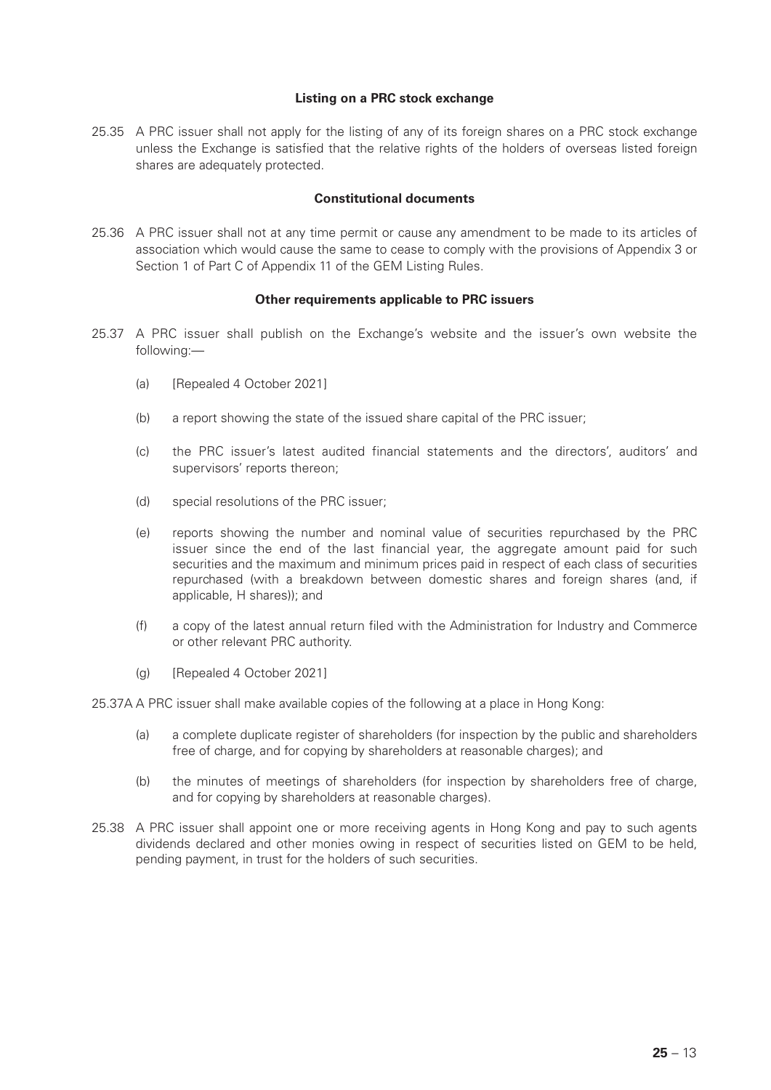## **Listing on a PRC stock exchange**

25.35 A PRC issuer shall not apply for the listing of any of its foreign shares on a PRC stock exchange unless the Exchange is satisfied that the relative rights of the holders of overseas listed foreign shares are adequately protected.

#### **Constitutional documents**

25.36 A PRC issuer shall not at any time permit or cause any amendment to be made to its articles of association which would cause the same to cease to comply with the provisions of Appendix 3 or Section 1 of Part C of Appendix 11 of the GEM Listing Rules.

#### **Other requirements applicable to PRC issuers**

- 25.37 A PRC issuer shall publish on the Exchange's website and the issuer's own website the following:—
	- (a) [Repealed 4 October 2021]
	- (b) a report showing the state of the issued share capital of the PRC issuer;
	- (c) the PRC issuer's latest audited financial statements and the directors', auditors' and supervisors' reports thereon;
	- (d) special resolutions of the PRC issuer;
	- (e) reports showing the number and nominal value of securities repurchased by the PRC issuer since the end of the last financial year, the aggregate amount paid for such securities and the maximum and minimum prices paid in respect of each class of securities repurchased (with a breakdown between domestic shares and foreign shares (and, if applicable, H shares)); and
	- (f) a copy of the latest annual return filed with the Administration for Industry and Commerce or other relevant PRC authority.
	- (g) [Repealed 4 October 2021]

25.37A A PRC issuer shall make available copies of the following at a place in Hong Kong:

- (a) a complete duplicate register of shareholders (for inspection by the public and shareholders free of charge, and for copying by shareholders at reasonable charges); and
- (b) the minutes of meetings of shareholders (for inspection by shareholders free of charge, and for copying by shareholders at reasonable charges).
- 25.38 A PRC issuer shall appoint one or more receiving agents in Hong Kong and pay to such agents dividends declared and other monies owing in respect of securities listed on GEM to be held, pending payment, in trust for the holders of such securities.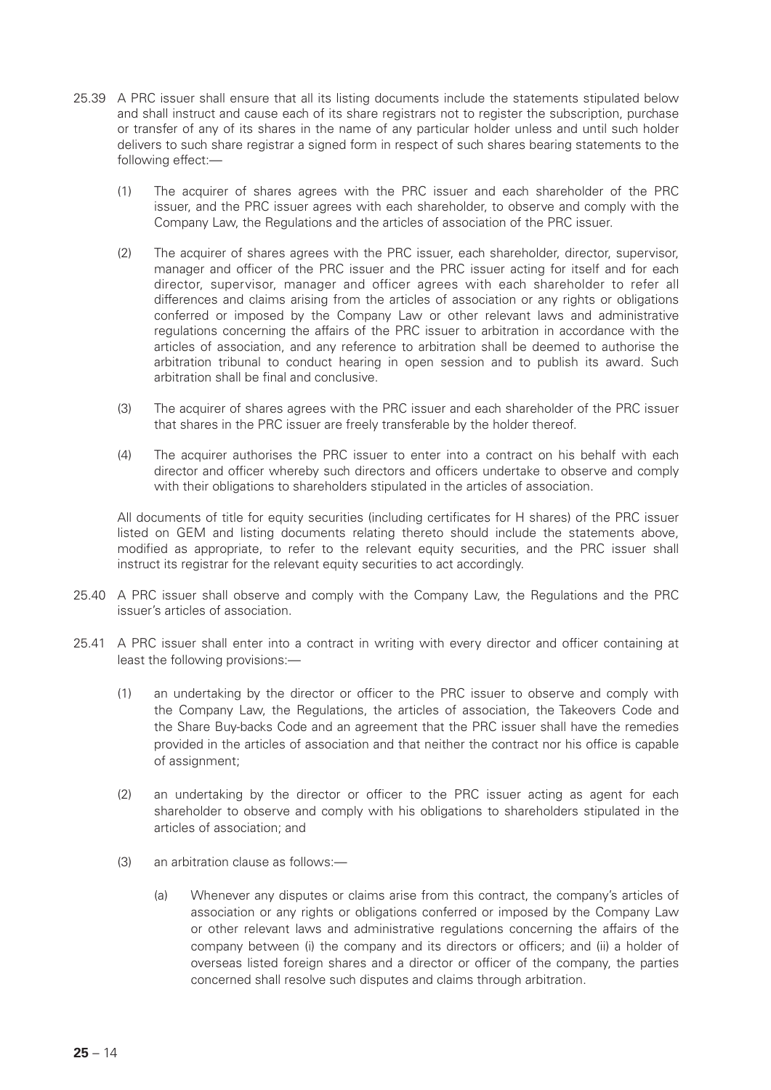- 25.39 A PRC issuer shall ensure that all its listing documents include the statements stipulated below and shall instruct and cause each of its share registrars not to register the subscription, purchase or transfer of any of its shares in the name of any particular holder unless and until such holder delivers to such share registrar a signed form in respect of such shares bearing statements to the following effect:—
	- (1) The acquirer of shares agrees with the PRC issuer and each shareholder of the PRC issuer, and the PRC issuer agrees with each shareholder, to observe and comply with the Company Law, the Regulations and the articles of association of the PRC issuer.
	- (2) The acquirer of shares agrees with the PRC issuer, each shareholder, director, supervisor, manager and officer of the PRC issuer and the PRC issuer acting for itself and for each director, supervisor, manager and officer agrees with each shareholder to refer all differences and claims arising from the articles of association or any rights or obligations conferred or imposed by the Company Law or other relevant laws and administrative regulations concerning the affairs of the PRC issuer to arbitration in accordance with the articles of association, and any reference to arbitration shall be deemed to authorise the arbitration tribunal to conduct hearing in open session and to publish its award. Such arbitration shall be final and conclusive.
	- (3) The acquirer of shares agrees with the PRC issuer and each shareholder of the PRC issuer that shares in the PRC issuer are freely transferable by the holder thereof.
	- (4) The acquirer authorises the PRC issuer to enter into a contract on his behalf with each director and officer whereby such directors and officers undertake to observe and comply with their obligations to shareholders stipulated in the articles of association.

All documents of title for equity securities (including certificates for H shares) of the PRC issuer listed on GEM and listing documents relating thereto should include the statements above, modified as appropriate, to refer to the relevant equity securities, and the PRC issuer shall instruct its registrar for the relevant equity securities to act accordingly.

- 25.40 A PRC issuer shall observe and comply with the Company Law, the Regulations and the PRC issuer's articles of association.
- 25.41 A PRC issuer shall enter into a contract in writing with every director and officer containing at least the following provisions:—
	- (1) an undertaking by the director or officer to the PRC issuer to observe and comply with the Company Law, the Regulations, the articles of association, the Takeovers Code and the Share Buy-backs Code and an agreement that the PRC issuer shall have the remedies provided in the articles of association and that neither the contract nor his office is capable of assignment;
	- (2) an undertaking by the director or officer to the PRC issuer acting as agent for each shareholder to observe and comply with his obligations to shareholders stipulated in the articles of association; and
	- (3) an arbitration clause as follows:—
		- (a) Whenever any disputes or claims arise from this contract, the company's articles of association or any rights or obligations conferred or imposed by the Company Law or other relevant laws and administrative regulations concerning the affairs of the company between (i) the company and its directors or officers; and (ii) a holder of overseas listed foreign shares and a director or officer of the company, the parties concerned shall resolve such disputes and claims through arbitration.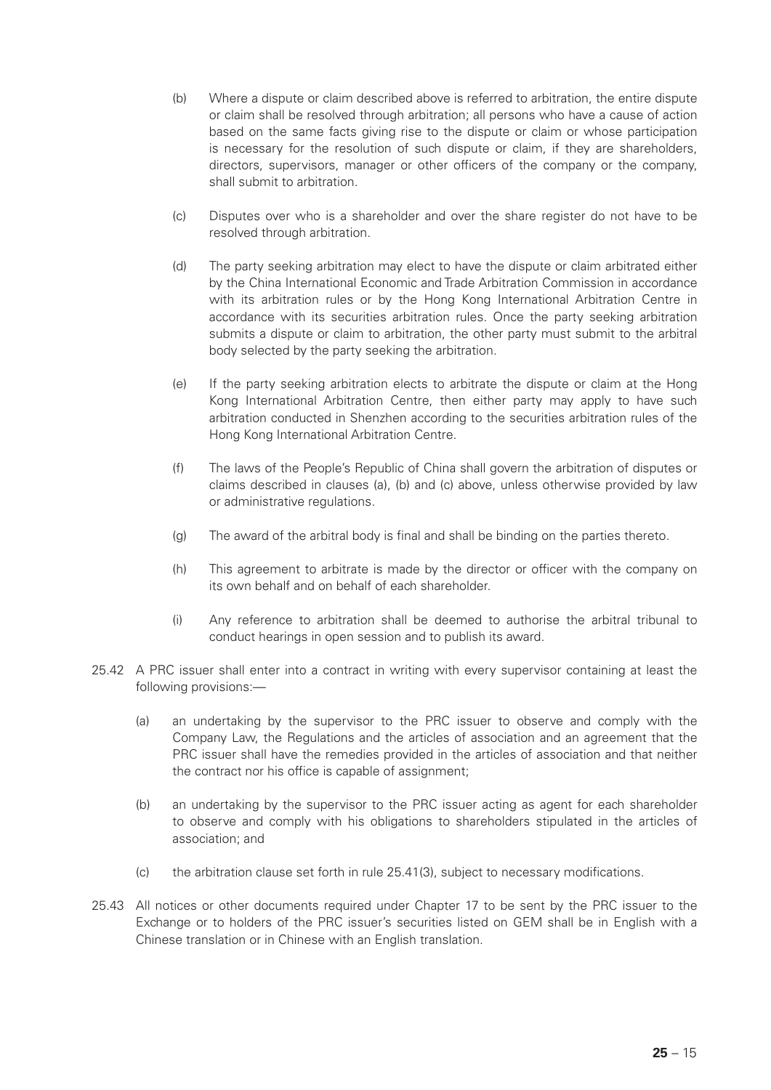- (b) Where a dispute or claim described above is referred to arbitration, the entire dispute or claim shall be resolved through arbitration; all persons who have a cause of action based on the same facts giving rise to the dispute or claim or whose participation is necessary for the resolution of such dispute or claim, if they are shareholders, directors, supervisors, manager or other officers of the company or the company, shall submit to arbitration.
- (c) Disputes over who is a shareholder and over the share register do not have to be resolved through arbitration.
- (d) The party seeking arbitration may elect to have the dispute or claim arbitrated either by the China International Economic and Trade Arbitration Commission in accordance with its arbitration rules or by the Hong Kong International Arbitration Centre in accordance with its securities arbitration rules. Once the party seeking arbitration submits a dispute or claim to arbitration, the other party must submit to the arbitral body selected by the party seeking the arbitration.
- (e) If the party seeking arbitration elects to arbitrate the dispute or claim at the Hong Kong International Arbitration Centre, then either party may apply to have such arbitration conducted in Shenzhen according to the securities arbitration rules of the Hong Kong International Arbitration Centre.
- (f) The laws of the People's Republic of China shall govern the arbitration of disputes or claims described in clauses (a), (b) and (c) above, unless otherwise provided by law or administrative regulations.
- (g) The award of the arbitral body is final and shall be binding on the parties thereto.
- (h) This agreement to arbitrate is made by the director or officer with the company on its own behalf and on behalf of each shareholder.
- (i) Any reference to arbitration shall be deemed to authorise the arbitral tribunal to conduct hearings in open session and to publish its award.
- 25.42 A PRC issuer shall enter into a contract in writing with every supervisor containing at least the following provisions:—
	- (a) an undertaking by the supervisor to the PRC issuer to observe and comply with the Company Law, the Regulations and the articles of association and an agreement that the PRC issuer shall have the remedies provided in the articles of association and that neither the contract nor his office is capable of assignment;
	- (b) an undertaking by the supervisor to the PRC issuer acting as agent for each shareholder to observe and comply with his obligations to shareholders stipulated in the articles of association; and
	- (c) the arbitration clause set forth in rule 25.41(3), subject to necessary modifications.
- 25.43 All notices or other documents required under Chapter 17 to be sent by the PRC issuer to the Exchange or to holders of the PRC issuer's securities listed on GEM shall be in English with a Chinese translation or in Chinese with an English translation.